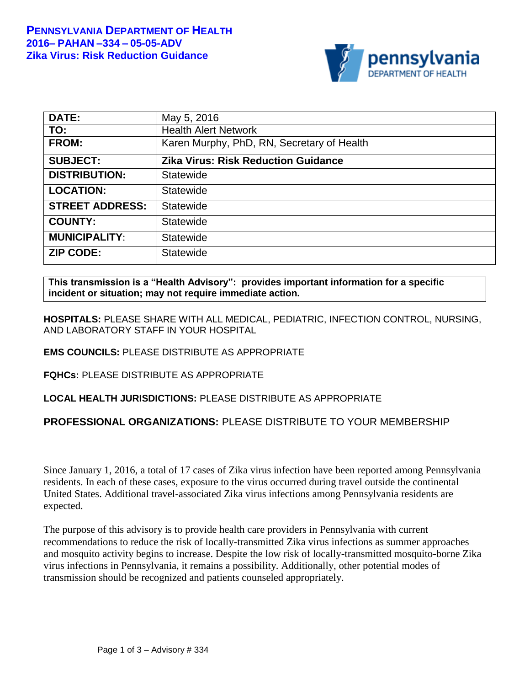

| <b>DATE:</b>           | May 5, 2016                                |
|------------------------|--------------------------------------------|
| TO:                    | <b>Health Alert Network</b>                |
| <b>FROM:</b>           | Karen Murphy, PhD, RN, Secretary of Health |
| <b>SUBJECT:</b>        | <b>Zika Virus: Risk Reduction Guidance</b> |
| <b>DISTRIBUTION:</b>   | Statewide                                  |
| <b>LOCATION:</b>       | Statewide                                  |
| <b>STREET ADDRESS:</b> | <b>Statewide</b>                           |
| <b>COUNTY:</b>         | Statewide                                  |
| <b>MUNICIPALITY:</b>   | Statewide                                  |
| <b>ZIP CODE:</b>       | <b>Statewide</b>                           |

**This transmission is a "Health Advisory": provides important information for a specific incident or situation; may not require immediate action.**

**HOSPITALS:** PLEASE SHARE WITH ALL MEDICAL, PEDIATRIC, INFECTION CONTROL, NURSING, AND LABORATORY STAFF IN YOUR HOSPITAL

### **EMS COUNCILS:** PLEASE DISTRIBUTE AS APPROPRIATE

**FQHCs:** PLEASE DISTRIBUTE AS APPROPRIATE

### **LOCAL HEALTH JURISDICTIONS:** PLEASE DISTRIBUTE AS APPROPRIATE

### **PROFESSIONAL ORGANIZATIONS:** PLEASE DISTRIBUTE TO YOUR MEMBERSHIP

Since January 1, 2016, a total of 17 cases of Zika virus infection have been reported among Pennsylvania residents. In each of these cases, exposure to the virus occurred during travel outside the continental United States. Additional travel-associated Zika virus infections among Pennsylvania residents are expected.

The purpose of this advisory is to provide health care providers in Pennsylvania with current recommendations to reduce the risk of locally-transmitted Zika virus infections as summer approaches and mosquito activity begins to increase. Despite the low risk of locally-transmitted mosquito-borne Zika virus infections in Pennsylvania, it remains a possibility. Additionally, other potential modes of transmission should be recognized and patients counseled appropriately.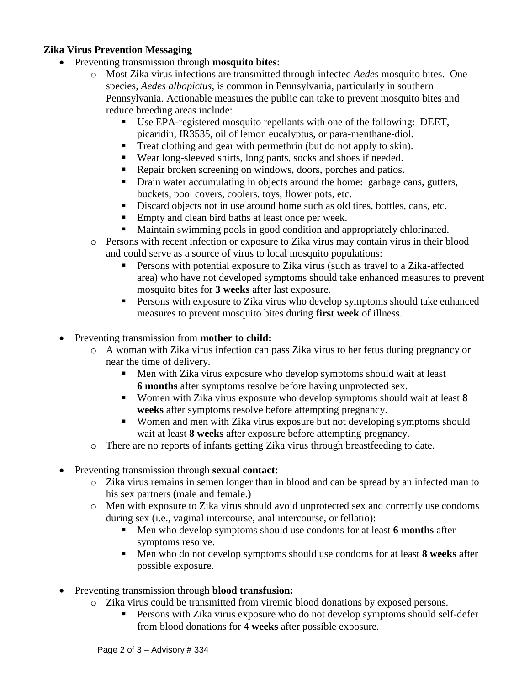### **Zika Virus Prevention Messaging**

- Preventing transmission through **mosquito bites**:
	- o Most Zika virus infections are transmitted through infected *Aedes* mosquito bites. One species, *Aedes albopictus*, is common in Pennsylvania, particularly in southern Pennsylvania. Actionable measures the public can take to prevent mosquito bites and reduce breeding areas include:
		- Use EPA-registered mosquito repellants with one of the following: DEET, picaridin, IR3535, oil of lemon eucalyptus, or para-menthane-diol.
		- Treat clothing and gear with permethrin (but do not apply to skin).
		- Wear long-sleeved shirts, long pants, socks and shoes if needed.
		- Repair broken screening on windows, doors, porches and patios.
		- Drain water accumulating in objects around the home: garbage cans, gutters, buckets, pool covers, coolers, toys, flower pots, etc.
		- Discard objects not in use around home such as old tires, bottles, cans, etc.
		- **Empty and clean bird baths at least once per week.**
		- Maintain swimming pools in good condition and appropriately chlorinated.
	- o Persons with recent infection or exposure to Zika virus may contain virus in their blood and could serve as a source of virus to local mosquito populations:
		- Persons with potential exposure to Zika virus (such as travel to a Zika-affected area) who have not developed symptoms should take enhanced measures to prevent mosquito bites for **3 weeks** after last exposure.
		- **Persons with exposure to Zika virus who develop symptoms should take enhanced** measures to prevent mosquito bites during **first week** of illness.

• Preventing transmission from **mother to child:** 

- o A woman with Zika virus infection can pass Zika virus to her fetus during pregnancy or near the time of delivery.
	- Men with Zika virus exposure who develop symptoms should wait at least **6 months** after symptoms resolve before having unprotected sex.
	- Women with Zika virus exposure who develop symptoms should wait at least **8 weeks** after symptoms resolve before attempting pregnancy.
	- Women and men with Zika virus exposure but not developing symptoms should wait at least **8 weeks** after exposure before attempting pregnancy.
- o There are no reports of infants getting Zika virus through breastfeeding to date.
- Preventing transmission through **sexual contact:** 
	- o Zika virus remains in semen longer than in blood and can be spread by an infected man to his sex partners (male and female.)
	- $\circ$  Men with exposure to Zika virus should avoid unprotected sex and correctly use condoms during sex (i.e., vaginal intercourse, anal intercourse, or fellatio):
		- Men who develop symptoms should use condoms for at least **6 months** after symptoms resolve.
		- Men who do not develop symptoms should use condoms for at least **8 weeks** after possible exposure.
- Preventing transmission through **blood transfusion:**
	- o Zika virus could be transmitted from viremic blood donations by exposed persons.
		- Persons with Zika virus exposure who do not develop symptoms should self-defer from blood donations for **4 weeks** after possible exposure.